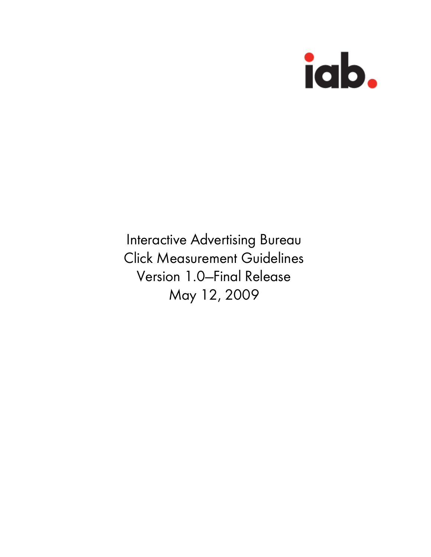

Interactive Advertising Bureau Click Measurement Guidelines Version 1.0—Final Release May 12, 2009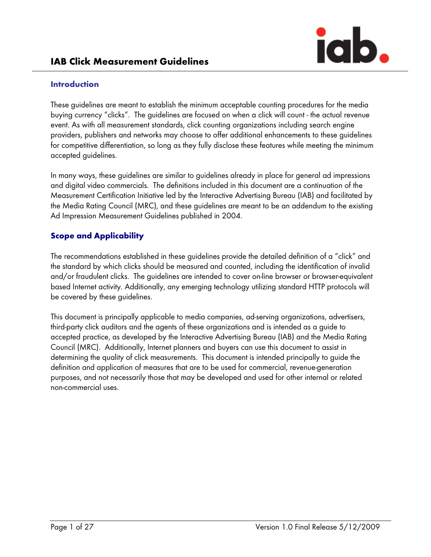

### Introduction

These guidelines are meant to establish the minimum acceptable counting procedures for the media buying currency "clicks". The guidelines are focused on when a click will count - the actual revenue event. As with all measurement standards, click counting organizations including search engine providers, publishers and networks may choose to offer additional enhancements to these guidelines for competitive differentiation, so long as they fully disclose these features while meeting the minimum accepted guidelines.

In many ways, these guidelines are similar to guidelines already in place for general ad impressions and digital video commercials. The definitions included in this document are a continuation of the Measurement Certification Initiative led by the Interactive Advertising Bureau (IAB) and facilitated by the Media Rating Council (MRC), and these guidelines are meant to be an addendum to the existing Ad Impression Measurement Guidelines published in 2004.

# Scope and Applicability

The recommendations established in these guidelines provide the detailed definition of a "click" and the standard by which clicks should be measured and counted, including the identification of invalid and/or fraudulent clicks. The guidelines are intended to cover on-line browser or browser-equivalent based Internet activity. Additionally, any emerging technology utilizing standard HTTP protocols will be covered by these guidelines.

This document is principally applicable to media companies, ad-serving organizations, advertisers, third-party click auditors and the agents of these organizations and is intended as a guide to accepted practice, as developed by the Interactive Advertising Bureau (IAB) and the Media Rating Council (MRC). Additionally, Internet planners and buyers can use this document to assist in determining the quality of click measurements. This document is intended principally to guide the definition and application of measures that are to be used for commercial, revenue-generation purposes, and not necessarily those that may be developed and used for other internal or related non-commercial uses.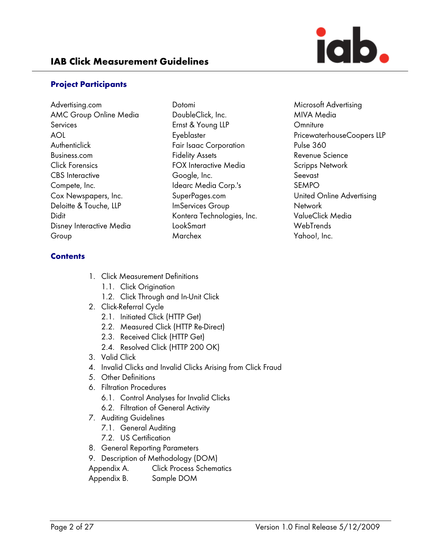

#### Project Participants

- Advertising.com AMC Group Online Media **Services** AOL **Authenticlick** Business.com Click Forensics CBS Interactive Compete, Inc. Cox Newspapers, Inc. Deloitte & Touche, LLP Didit Disney Interactive Media Group
- Dotomi DoubleClick, Inc. Ernst & Young LLP Eyeblaster Fair Isaac Corporation Fidelity Assets FOX Interactive Media Google, Inc. Idearc Media Corp.'s SuperPages.com ImServices Group Kontera Technologies, Inc. LookSmart Marchex

Microsoft Advertising MIVA Media **Omniture** PricewaterhouseCoopers LLP Pulse 360 Revenue Science Scripps Network Seevast SEMPO United Online Advertising **Network** ValueClick Media WebTrends Yahoo!, Inc.

### **Contents**

- 1. Click Measurement Definitions
	- 1.1. Click Origination
	- 1.2. Click Through and In-Unit Click
- 2. Click-Referral Cycle
	- 2.1. Initiated Click (HTTP Get)
	- 2.2. Measured Click (HTTP Re-Direct)
	- 2.3. Received Click (HTTP Get)
	- 2.4. Resolved Click (HTTP 200 OK)
- 3. Valid Click
- 4. Invalid Clicks and Invalid Clicks Arising from Click Fraud
- 5. Other Definitions
- 6. Filtration Procedures
	- 6.1. Control Analyses for Invalid Clicks
	- 6.2. Filtration of General Activity
- 7. Auditing Guidelines
	- 7.1. General Auditing
	- 7.2. US Certification
- 8. General Reporting Parameters
- 9. Description of Methodology (DOM)
- Appendix A. Click Process Schematics
- Appendix B. Sample DOM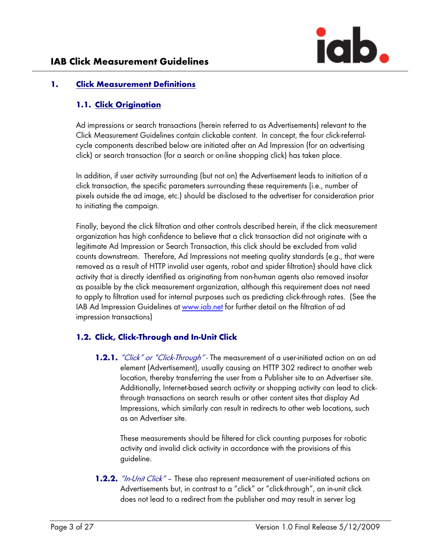## 1. Click Measurement Definitions

## 1.1. Click Origination

Ad impressions or search transactions (herein referred to as Advertisements) relevant to the Click Measurement Guidelines contain clickable content. In concept, the four click-referralcycle components described below are initiated after an Ad Impression (for an advertising click) or search transaction (for a search or on-line shopping click) has taken place.

In addition, if user activity surrounding (but not on) the Advertisement leads to initiation of a click transaction, the specific parameters surrounding these requirements (i.e., number of pixels outside the ad image, etc.) should be disclosed to the advertiser for consideration prior to initiating the campaign.

Finally, beyond the click filtration and other controls described herein, if the click measurement organization has high confidence to believe that a click transaction did not originate with a legitimate Ad Impression or Search Transaction, this click should be excluded from valid counts downstream. Therefore, Ad Impressions not meeting quality standards (e.g., that were removed as a result of HTTP invalid user agents, robot and spider filtration) should have click activity that is directly identified as originating from non-human agents also removed insofar as possible by the click measurement organization, although this requirement does not need to apply to filtration used for internal purposes such as predicting click-through rates. (See the IAB Ad Impression Guidelines at www.iab.net for further detail on the filtration of ad impression transactions)

## 1.2. Click, Click-Through and In-Unit Click

**1.2.1.** *"Click" or "Click-Through"* - The measurement of a user-initiated action on an ad element (Advertisement), usually causing an HTTP 302 redirect to another web location, thereby transferring the user from a Publisher site to an Advertiser site. Additionally, Internet-based search activity or shopping activity can lead to clickthrough transactions on search results or other content sites that display Ad Impressions, which similarly can result in redirects to other web locations, such as an Advertiser site.

These measurements should be filtered for click counting purposes for robotic activity and invalid click activity in accordance with the provisions of this guideline.

**1.2.2.** "In-Unit Click" - These also represent measurement of user-initiated actions on Advertisements but, in contrast to a "click" or "click-through", an in-unit click does not lead to a redirect from the publisher and may result in server log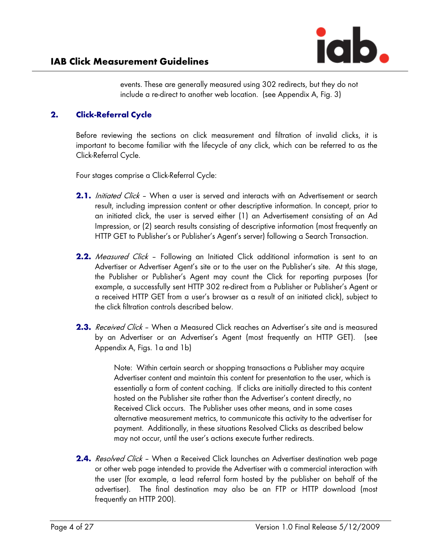events. These are generally measured using 302 redirects, but they do not include a re-direct to another web location. (see Appendix A, Fig. 3)

## 2. Click-Referral Cycle

Before reviewing the sections on click measurement and filtration of invalid clicks, it is important to become familiar with the lifecycle of any click, which can be referred to as the Click-Referral Cycle.

Four stages comprise a Click-Referral Cycle:

- 2.1. Initiated Click When a user is served and interacts with an Advertisement or search result, including impression content or other descriptive information. In concept, prior to an initiated click, the user is served either (1) an Advertisement consisting of an Ad Impression, or (2) search results consisting of descriptive information (most frequently an HTTP GET to Publisher's or Publisher's Agent's server) following a Search Transaction.
- **2.2.** Measured Click Following an Initiated Click additional information is sent to an Advertiser or Advertiser Agent's site or to the user on the Publisher's site. At this stage, the Publisher or Publisher's Agent may count the Click for reporting purposes (for example, a successfully sent HTTP 302 re-direct from a Publisher or Publisher's Agent or a received HTTP GET from a user's browser as a result of an initiated click), subject to the click filtration controls described below.
- **2.3.** Received Click When a Measured Click reaches an Advertiser's site and is measured by an Advertiser or an Advertiser's Agent (most frequently an HTTP GET). (see Appendix A, Figs. 1a and 1b)

Note: Within certain search or shopping transactions a Publisher may acquire Advertiser content and maintain this content for presentation to the user, which is essentially a form of content caching. If clicks are initially directed to this content hosted on the Publisher site rather than the Advertiser's content directly, no Received Click occurs. The Publisher uses other means, and in some cases alternative measurement metrics, to communicate this activity to the advertiser for payment. Additionally, in these situations Resolved Clicks as described below may not occur, until the user's actions execute further redirects.

**2.4.** Resolved Click - When a Received Click launches an Advertiser destination web page or other web page intended to provide the Advertiser with a commercial interaction with the user (for example, a lead referral form hosted by the publisher on behalf of the advertiser). The final destination may also be an FTP or HTTP download (most frequently an HTTP 200).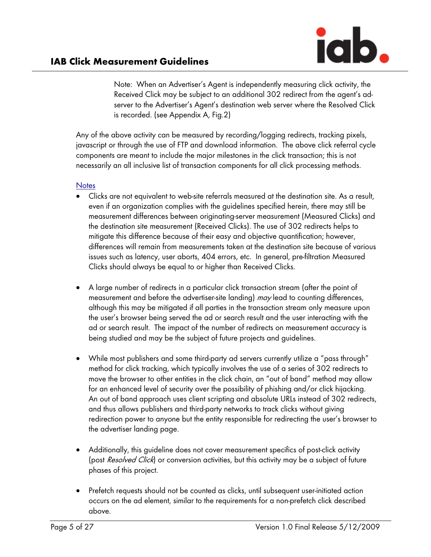Note: When an Advertiser's Agent is independently measuring click activity, the Received Click may be subject to an additional 302 redirect from the agent's adserver to the Advertiser's Agent's destination web server where the Resolved Click is recorded. (see Appendix A, Fig.2)

Any of the above activity can be measured by recording/logging redirects, tracking pixels, javascript or through the use of FTP and download information. The above click referral cycle components are meant to include the major milestones in the click transaction; this is not necessarily an all inclusive list of transaction components for all click processing methods.

### **Notes**

- Clicks are not equivalent to web-site referrals measured at the destination site. As a result, even if an organization complies with the guidelines specified herein, there may still be measurement differences between originating-server measurement (Measured Clicks) and the destination site measurement (Received Clicks). The use of 302 redirects helps to mitigate this difference because of their easy and objective quantification; however, differences will remain from measurements taken at the destination site because of various issues such as latency, user aborts, 404 errors, etc. In general, pre-filtration Measured Clicks should always be equal to or higher than Received Clicks.
- A large number of redirects in a particular click transaction stream (after the point of measurement and before the advertiser-site landing) may lead to counting differences, although this may be mitigated if all parties in the transaction stream only measure upon the user's browser being served the ad or search result and the user interacting with the ad or search result. The impact of the number of redirects on measurement accuracy is being studied and may be the subject of future projects and guidelines.
- While most publishers and some third-party ad servers currently utilize a "pass through" method for click tracking, which typically involves the use of a series of 302 redirects to move the browser to other entities in the click chain, an "out of band" method may allow for an enhanced level of security over the possibility of phishing and/or click hijacking. An out of band approach uses client scripting and absolute URLs instead of 302 redirects, and thus allows publishers and third-party networks to track clicks without giving redirection power to anyone but the entity responsible for redirecting the user's browser to the advertiser landing page.
- Additionally, this guideline does not cover measurement specifics of post-click activity (post Resolved Click) or conversion activities, but this activity may be a subject of future phases of this project.
- Prefetch requests should not be counted as clicks, until subsequent user-initiated action occurs on the ad element, similar to the requirements for a non-prefetch click described above.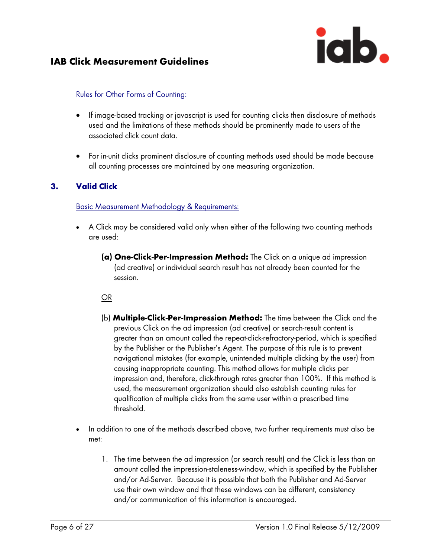

#### Rules for Other Forms of Counting:

- If image-based tracking or javascript is used for counting clicks then disclosure of methods used and the limitations of these methods should be prominently made to users of the associated click count data.
- For in-unit clicks prominent disclosure of counting methods used should be made because all counting processes are maintained by one measuring organization.

### 3. Valid Click

Basic Measurement Methodology & Requirements:

- A Click may be considered valid only when either of the following two counting methods are used:
	- (a) One-Click-Per-Impression Method: The Click on a unique ad impression (ad creative) or individual search result has not already been counted for the session.

#### OR

- (b) **Multiple-Click-Per-Impression Method:** The time between the Click and the previous Click on the ad impression (ad creative) or search-result content is greater than an amount called the repeat-click-refractory-period, which is specified by the Publisher or the Publisher's Agent. The purpose of this rule is to prevent navigational mistakes (for example, unintended multiple clicking by the user) from causing inappropriate counting. This method allows for multiple clicks per impression and, therefore, click-through rates greater than 100%. If this method is used, the measurement organization should also establish counting rules for qualification of multiple clicks from the same user within a prescribed time threshold.
- In addition to one of the methods described above, two further requirements must also be met:
	- 1. The time between the ad impression (or search result) and the Click is less than an amount called the impression-staleness-window, which is specified by the Publisher and/or Ad-Server. Because it is possible that both the Publisher and Ad-Server use their own window and that these windows can be different, consistency and/or communication of this information is encouraged.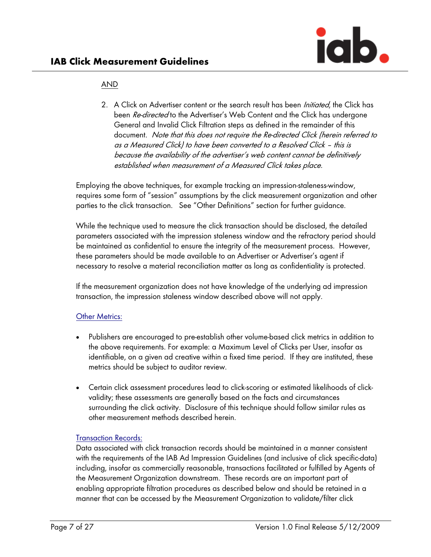### AND

2. A Click on Advertiser content or the search result has been *Initiated*, the Click has been *Re-directed* to the Advertiser's Web Content and the Click has undergone General and Invalid Click Filtration steps as defined in the remainder of this document. Note that this does not require the Re-directed Click (herein referred to as a Measured Click) to have been converted to a Resolved Click – this is because the availability of the advertiser's web content cannot be definitively established when measurement of a Measured Click takes place.

Employing the above techniques, for example tracking an impression-staleness-window, requires some form of "session" assumptions by the click measurement organization and other parties to the click transaction. See "Other Definitions" section for further guidance.

While the technique used to measure the click transaction should be disclosed, the detailed parameters associated with the impression staleness window and the refractory period should be maintained as confidential to ensure the integrity of the measurement process. However, these parameters should be made available to an Advertiser or Advertiser's agent if necessary to resolve a material reconciliation matter as long as confidentiality is protected.

If the measurement organization does not have knowledge of the underlying ad impression transaction, the impression staleness window described above will not apply.

### Other Metrics:

- Publishers are encouraged to pre-establish other volume-based click metrics in addition to the above requirements. For example: a Maximum Level of Clicks per User, insofar as identifiable, on a given ad creative within a fixed time period. If they are instituted, these metrics should be subject to auditor review.
- Certain click assessment procedures lead to click-scoring or estimated likelihoods of clickvalidity; these assessments are generally based on the facts and circumstances surrounding the click activity. Disclosure of this technique should follow similar rules as other measurement methods described herein.

### Transaction Records:

Data associated with click transaction records should be maintained in a manner consistent with the requirements of the IAB Ad Impression Guidelines (and inclusive of click specific-data) including, insofar as commercially reasonable, transactions facilitated or fulfilled by Agents of the Measurement Organization downstream. These records are an important part of enabling appropriate filtration procedures as described below and should be retained in a manner that can be accessed by the Measurement Organization to validate/filter click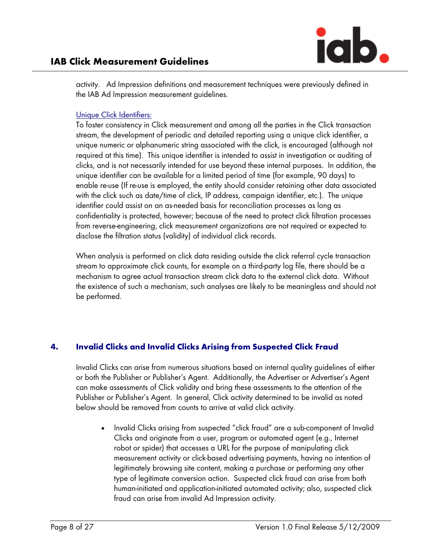

activity. Ad Impression definitions and measurement techniques were previously defined in the IAB Ad Impression measurement guidelines.

### Unique Click Identifiers:

To foster consistency in Click measurement and among all the parties in the Click transaction stream, the development of periodic and detailed reporting using a unique click identifier, a unique numeric or alphanumeric string associated with the click, is encouraged (although not required at this time). This unique identifier is intended to assist in investigation or auditing of clicks, and is not necessarily intended for use beyond these internal purposes. In addition, the unique identifier can be available for a limited period of time (for example, 90 days) to enable re-use (If re-use is employed, the entity should consider retaining other data associated with the click such as date/time of click, IP address, campaign identifier, etc.). The unique identifier could assist on an as-needed basis for reconciliation processes as long as confidentiality is protected, however; because of the need to protect click filtration processes from reverse-engineering, click measurement organizations are not required or expected to disclose the filtration status (validity) of individual click records.

When analysis is performed on click data residing outside the click referral cycle transaction stream to approximate click counts, for example on a third-party log file, there should be a mechanism to agree actual transaction stream click data to the external click data. Without the existence of such a mechanism, such analyses are likely to be meaningless and should not be performed.

## 4. Invalid Clicks and Invalid Clicks Arising from Suspected Click Fraud

Invalid Clicks can arise from numerous situations based on internal quality guidelines of either or both the Publisher or Publisher's Agent. Additionally, the Advertiser or Advertiser's Agent can make assessments of Click validity and bring these assessments to the attention of the Publisher or Publisher's Agent. In general, Click activity determined to be invalid as noted below should be removed from counts to arrive at valid click activity.

• Invalid Clicks arising from suspected "click fraud" are a sub-component of Invalid Clicks and originate from a user, program or automated agent (e.g., Internet robot or spider) that accesses a URL for the purpose of manipulating click measurement activity or click-based advertising payments, having no intention of legitimately browsing site content, making a purchase or performing any other type of legitimate conversion action. Suspected click fraud can arise from both human-initiated and application-initiated automated activity; also, suspected click fraud can arise from invalid Ad Impression activity.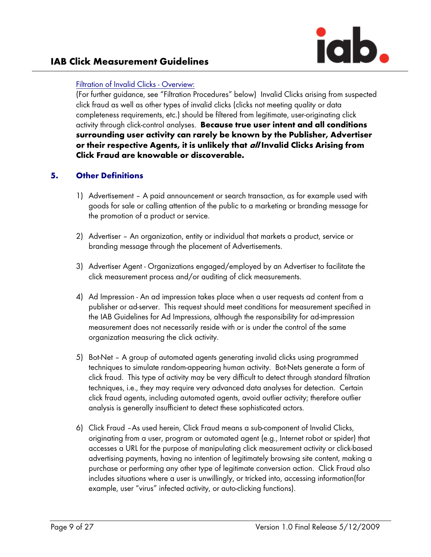

#### Filtration of Invalid Clicks - Overview:

(For further guidance, see "Filtration Procedures" below) Invalid Clicks arising from suspected click fraud as well as other types of invalid clicks (clicks not meeting quality or data completeness requirements, etc.) should be filtered from legitimate, user-originating click activity through click-control analyses. Because true user intent and all conditions surrounding user activity can rarely be known by the Publisher, Advertiser or their respective Agents, it is unlikely that all Invalid Clicks Arising from Click Fraud are knowable or discoverable.

### 5. Other Definitions

- 1) Advertisement A paid announcement or search transaction, as for example used with goods for sale or calling attention of the public to a marketing or branding message for the promotion of a product or service.
- 2) Advertiser An organization, entity or individual that markets a product, service or branding message through the placement of Advertisements.
- 3) Advertiser Agent Organizations engaged/employed by an Advertiser to facilitate the click measurement process and/or auditing of click measurements.
- 4) Ad Impression An ad impression takes place when a user requests ad content from a publisher or ad-server. This request should meet conditions for measurement specified in the IAB Guidelines for Ad Impressions, although the responsibility for ad-impression measurement does not necessarily reside with or is under the control of the same organization measuring the click activity.
- 5) Bot-Net A group of automated agents generating invalid clicks using programmed techniques to simulate random-appearing human activity. Bot-Nets generate a form of click fraud. This type of activity may be very difficult to detect through standard filtration techniques, i.e., they may require very advanced data analyses for detection. Certain click fraud agents, including automated agents, avoid outlier activity; therefore outlier analysis is generally insufficient to detect these sophisticated actors.
- 6) Click Fraud –As used herein, Click Fraud means a sub-component of Invalid Clicks, originating from a user, program or automated agent (e.g., Internet robot or spider) that accesses a URL for the purpose of manipulating click measurement activity or click-based advertising payments, having no intention of legitimately browsing site content, making a purchase or performing any other type of legitimate conversion action. Click Fraud also includes situations where a user is unwillingly, or tricked into, accessing information(for example, user "virus" infected activity, or auto-clicking functions).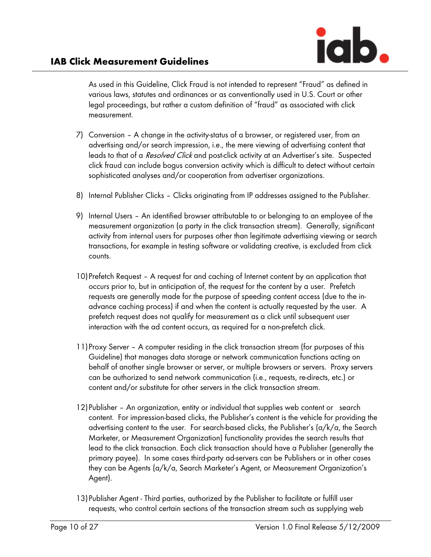As used in this Guideline, Click Fraud is not intended to represent "Fraud" as defined in various laws, statutes and ordinances or as conventionally used in U.S. Court or other legal proceedings, but rather a custom definition of "fraud" as associated with click measurement.

- 7) Conversion A change in the activity-status of a browser, or registered user, from an advertising and/or search impression, i.e., the mere viewing of advertising content that leads to that of a *Resolved Click* and post-click activity at an Advertiser's site. Suspected click fraud can include bogus conversion activity which is difficult to detect without certain sophisticated analyses and/or cooperation from advertiser organizations.
- 8) Internal Publisher Clicks Clicks originating from IP addresses assigned to the Publisher.
- 9) Internal Users An identified browser attributable to or belonging to an employee of the measurement organization (a party in the click transaction stream). Generally, significant activity from internal users for purposes other than legitimate advertising viewing or search transactions, for example in testing software or validating creative, is excluded from click counts.
- 10)Prefetch Request A request for and caching of Internet content by an application that occurs prior to, but in anticipation of, the request for the content by a user. Prefetch requests are generally made for the purpose of speeding content access (due to the inadvance caching process) if and when the content is actually requested by the user. A prefetch request does not qualify for measurement as a click until subsequent user interaction with the ad content occurs, as required for a non-prefetch click.
- 11)Proxy Server A computer residing in the click transaction stream (for purposes of this Guideline) that manages data storage or network communication functions acting on behalf of another single browser or server, or multiple browsers or servers. Proxy servers can be authorized to send network communication (i.e., requests, re-directs, etc.) or content and/or substitute for other servers in the click transaction stream.
- 12)Publisher An organization, entity or individual that supplies web content or search content. For impression-based clicks, the Publisher's content is the vehicle for providing the advertising content to the user. For search-based clicks, the Publisher's (a/k/a, the Search Marketer, or Measurement Organization) functionality provides the search results that lead to the click transaction. Each click transaction should have a Publisher (generally the primary payee). In some cases third-party ad-servers can be Publishers or in other cases they can be Agents (a/k/a, Search Marketer's Agent, or Measurement Organization's Agent).
- 13)Publisher Agent Third parties, authorized by the Publisher to facilitate or fulfill user requests, who control certain sections of the transaction stream such as supplying web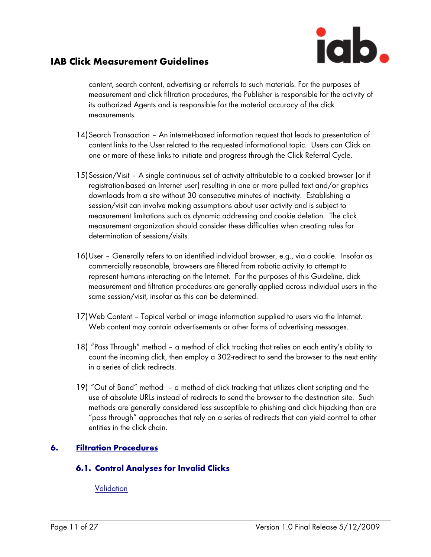content, search content, advertising or referrals to such materials. For the purposes of measurement and click filtration procedures, the Publisher is responsible for the activity of its authorized Agents and is responsible for the material accuracy of the click measurements.

- 14) Search Transaction An internet-based information request that leads to presentation of content links to the User related to the requested informational topic. Users can Click on one or more of these links to initiate and progress through the Click Referral Cycle.
- 15)Session/Visit A single continuous set of activity attributable to a cookied browser (or if registration-based an Internet user) resulting in one or more pulled text and/or graphics downloads from a site without 30 consecutive minutes of inactivity. Establishing a session/visit can involve making assumptions about user activity and is subject to measurement limitations such as dynamic addressing and cookie deletion. The click measurement organization should consider these difficulties when creating rules for determination of sessions/visits.
- 16)User Generally refers to an identified individual browser, e.g., via a cookie. Insofar as commercially reasonable, browsers are filtered from robotic activity to attempt to represent humans interacting on the Internet. For the purposes of this Guideline, click measurement and filtration procedures are generally applied across individual users in the same session/visit, insofar as this can be determined.
- 17)Web Content Topical verbal or image information supplied to users via the Internet. Web content may contain advertisements or other forms of advertising messages.
- 18) "Pass Through" method a method of click tracking that relies on each entity's ability to count the incoming click, then employ a 302-redirect to send the browser to the next entity in a series of click redirects.
- 19) "Out of Band" method a method of click tracking that utilizes client scripting and the use of absolute URLs instead of redirects to send the browser to the destination site. Such methods are generally considered less susceptible to phishing and click hijacking than are "pass through" approaches that rely on a series of redirects that can yield control to other entities in the click chain.

# 6. Filtration Procedures

## 6.1. Control Analyses for Invalid Clicks

**Validation**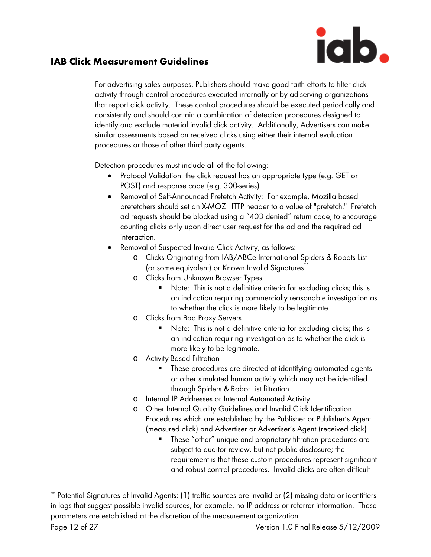

For advertising sales purposes, Publishers should make good faith efforts to filter click activity through control procedures executed internally or by ad-serving organizations that report click activity. These control procedures should be executed periodically and consistently and should contain a combination of detection procedures designed to identify and exclude material invalid click activity. Additionally, Advertisers can make similar assessments based on received clicks using either their internal evaluation procedures or those of other third party agents.

Detection procedures must include all of the following:

- Protocol Validation: the click request has an appropriate type (e.g. GET or POST) and response code (e.g. 300-series)
- Removal of Self-Announced Prefetch Activity: For example, Mozilla based prefetchers should set an X-MOZ HTTP header to a value of "prefetch." Prefetch ad requests should be blocked using a "403 denied" return code, to encourage counting clicks only upon direct user request for the ad and the required ad interaction.
- Removal of Suspected Invalid Click Activity, as follows:
	- o Clicks Originating from IAB/ABCe International Spiders & Robots List (or some equivalent) or Known Invalid Signatures<sup>†</sup>
	- o Clicks from Unknown Browser Types
		- Note: This is not a definitive criteria for excluding clicks; this is an indication requiring commercially reasonable investigation as to whether the click is more likely to be legitimate.
	- o Clicks from Bad Proxy Servers
		- Note: This is not a definitive criteria for excluding clicks; this is an indication requiring investigation as to whether the click is more likely to be legitimate.
	- o Activity-Based Filtration
		- These procedures are directed at identifying automated agents or other simulated human activity which may not be identified through Spiders & Robot List filtration
	- o Internal IP Addresses or Internal Automated Activity
	- o Other Internal Quality Guidelines and Invalid Click Identification Procedures which are established by the Publisher or Publisher's Agent (measured click) and Advertiser or Advertiser's Agent (received click)
		- These "other" unique and proprietary filtration procedures are subject to auditor review, but not public disclosure; the requirement is that these custom procedures represent significant and robust control procedures. Invalid clicks are often difficult

 $\overline{a}$ 

<sup>\*\*</sup> Potential Signatures of Invalid Agents: (1) traffic sources are invalid or (2) missing data or identifiers in logs that suggest possible invalid sources, for example, no IP address or referrer information. These parameters are established at the discretion of the measurement organization.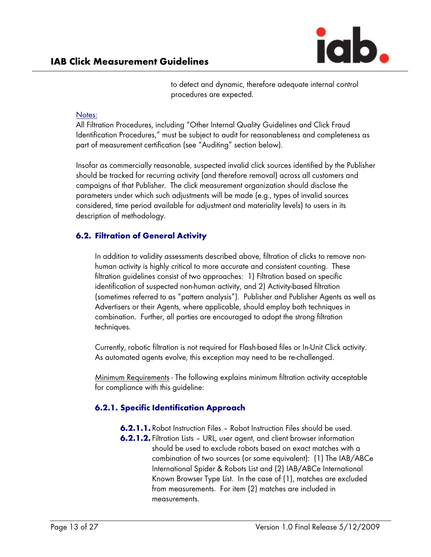

to detect and dynamic, therefore adequate internal control procedures are expected.

#### Notes:

All Filtration Procedures, including "Other Internal Quality Guidelines and Click Fraud Identification Procedures," must be subject to audit for reasonableness and completeness as part of measurement certification (see "Auditing" section below).

Insofar as commercially reasonable, suspected invalid click sources identified by the Publisher should be tracked for recurring activity (and therefore removal) across all customers and campaigns of that Publisher. The click measurement organization should disclose the parameters under which such adjustments will be made (e.g., types of invalid sources considered, time period available for adjustment and materiality levels) to users in its description of methodology.

### 6.2. Filtration of General Activity

In addition to validity assessments described above, filtration of clicks to remove nonhuman activity is highly critical to more accurate and consistent counting. These filtration guidelines consist of two approaches: 1) Filtration based on specific identification of suspected non-human activity, and 2) Activity-based filtration (sometimes referred to as "pattern analysis"). Publisher and Publisher Agents as well as Advertisers or their Agents, where applicable, should employ both techniques in combination. Further, all parties are encouraged to adopt the strong filtration techniques.

Currently, robotic filtration is not required for Flash-based files or In-Unit Click activity. As automated agents evolve, this exception may need to be re-challenged.

Minimum Requirements - The following explains minimum filtration activity acceptable for compliance with this guideline:

## 6.2.1. Specific Identification Approach

- **6.2.1.1.** Robot Instruction Files Robot Instruction Files should be used.
- 6.2.1.2. Filtration Lists URL, user agent, and client browser information should be used to exclude robots based on exact matches with a combination of two sources (or some equivalent): (1) The IAB/ABCe International Spider & Robots List and (2) IAB/ABCe International Known Browser Type List. In the case of (1), matches are excluded from measurements. For item (2) matches are included in measurements.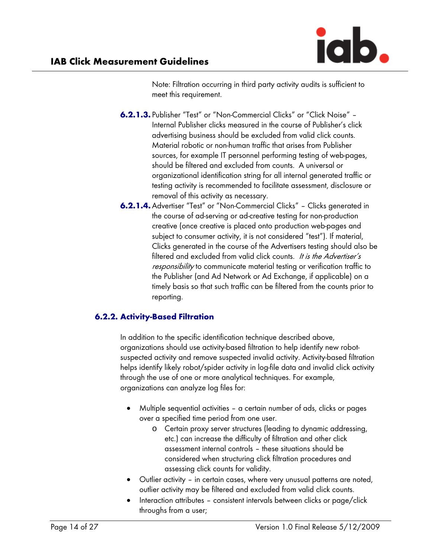Note: Filtration occurring in third party activity audits is sufficient to meet this requirement.

- 6.2.1.3. Publisher "Test" or "Non-Commercial Clicks" or "Click Noise" Internal Publisher clicks measured in the course of Publisher's click advertising business should be excluded from valid click counts. Material robotic or non-human traffic that arises from Publisher sources, for example IT personnel performing testing of web-pages, should be filtered and excluded from counts. A universal or organizational identification string for all internal generated traffic or testing activity is recommended to facilitate assessment, disclosure or removal of this activity as necessary.
- 6.2.1.4.Advertiser "Test" or "Non-Commercial Clicks" Clicks generated in the course of ad-serving or ad-creative testing for non-production creative (once creative is placed onto production web-pages and subject to consumer activity, it is not considered "test"). If material, Clicks generated in the course of the Advertisers testing should also be filtered and excluded from valid click counts. It is the Advertiser's responsibility to communicate material testing or verification traffic to the Publisher (and Ad Network or Ad Exchange, if applicable) on a timely basis so that such traffic can be filtered from the counts prior to reporting.

## 6.2.2. Activity-Based Filtration

In addition to the specific identification technique described above, organizations should use activity-based filtration to help identify new robotsuspected activity and remove suspected invalid activity. Activity-based filtration helps identify likely robot/spider activity in log-file data and invalid click activity through the use of one or more analytical techniques. For example, organizations can analyze log files for:

- Multiple sequential activities a certain number of ads, clicks or pages over a specified time period from one user.
	- o Certain proxy server structures (leading to dynamic addressing, etc.) can increase the difficulty of filtration and other click assessment internal controls – these situations should be considered when structuring click filtration procedures and assessing click counts for validity.
- Outlier activity in certain cases, where very unusual patterns are noted, outlier activity may be filtered and excluded from valid click counts.
- Interaction attributes consistent intervals between clicks or page/click throughs from a user;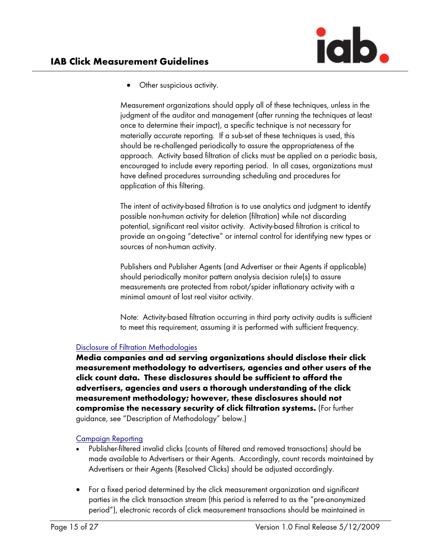• Other suspicious activity.

Measurement organizations should apply all of these techniques, unless in the judgment of the auditor and management (after running the techniques at least once to determine their impact), a specific technique is not necessary for materially accurate reporting. If a sub-set of these techniques is used, this should be re-challenged periodically to assure the appropriateness of the approach. Activity based filtration of clicks must be applied on a periodic basis, encouraged to include every reporting period. In all cases, organizations must have defined procedures surrounding scheduling and procedures for application of this filtering.

The intent of activity-based filtration is to use analytics and judgment to identify possible non-human activity for deletion (filtration) while not discarding potential, significant real visitor activity. Activity-based filtration is critical to provide an on-going "detective" or internal control for identifying new types or sources of non-human activity.

Publishers and Publisher Agents (and Advertiser or their Agents if applicable) should periodically monitor pattern analysis decision rule(s) to assure measurements are protected from robot/spider inflationary activity with a minimal amount of lost real visitor activity.

Note: Activity-based filtration occurring in third party activity audits is sufficient to meet this requirement, assuming it is performed with sufficient frequency.

### Disclosure of Filtration Methodologies

Media companies and ad serving organizations should disclose their click measurement methodology to advertisers, agencies and other users of the click count data. These disclosures should be sufficient to afford the advertisers, agencies and users a thorough understanding of the click measurement methodology; however, these disclosures should not compromise the necessary security of click filtration systems. (For further guidance, see "Description of Methodology" below.)

### Campaign Reporting

- Publisher-filtered invalid clicks (counts of filtered and removed transactions) should be made available to Advertisers or their Agents. Accordingly, count records maintained by Advertisers or their Agents (Resolved Clicks) should be adjusted accordingly.
- For a fixed period determined by the click measurement organization and significant parties in the click transaction stream (this period is referred to as the "pre-anonymized period"), electronic records of click measurement transactions should be maintained in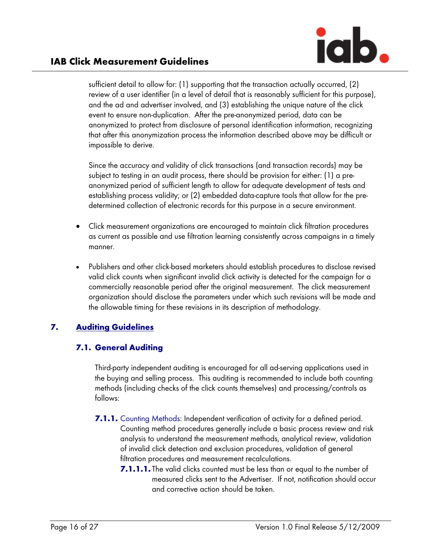sufficient detail to allow for: (1) supporting that the transaction actually occurred, (2) review of a user identifier (in a level of detail that is reasonably sufficient for this purpose), and the ad and advertiser involved, and (3) establishing the unique nature of the click event to ensure non-duplication. After the pre-anonymized period, data can be anonymized to protect from disclosure of personal identification information, recognizing that after this anonymization process the information described above may be difficult or impossible to derive.

Since the accuracy and validity of click transactions (and transaction records) may be subject to testing in an audit process, there should be provision for either: (1) a preanonymized period of sufficient length to allow for adequate development of tests and establishing process validity; or (2) embedded data-capture tools that allow for the predetermined collection of electronic records for this purpose in a secure environment.

- Click measurement organizations are encouraged to maintain click filtration procedures as current as possible and use filtration learning consistently across campaigns in a timely manner.
- Publishers and other click-based marketers should establish procedures to disclose revised valid click counts when significant invalid click activity is detected for the campaign for a commercially reasonable period after the original measurement. The click measurement organization should disclose the parameters under which such revisions will be made and the allowable timing for these revisions in its description of methodology.

# 7. Auditing Guidelines

# 7.1. General Auditing

Third-party independent auditing is encouraged for all ad-serving applications used in the buying and selling process. This auditing is recommended to include both counting methods (including checks of the click counts themselves) and processing/controls as follows:

- 7.1.1. Counting Methods: Independent verification of activity for a defined period. Counting method procedures generally include a basic process review and risk analysis to understand the measurement methods, analytical review, validation of invalid click detection and exclusion procedures, validation of general filtration procedures and measurement recalculations.
	- 7.1.1.1. The valid clicks counted must be less than or equal to the number of measured clicks sent to the Advertiser. If not, notification should occur and corrective action should be taken.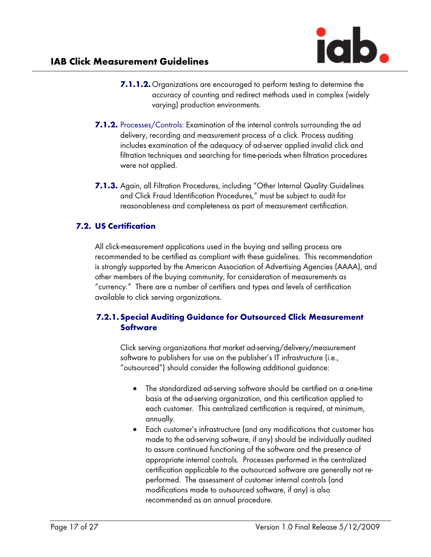

- 7.1.1.2. Organizations are encouraged to perform testing to determine the accuracy of counting and redirect methods used in complex (widely varying) production environments.
- 7.1.2. Processes/Controls: Examination of the internal controls surrounding the ad delivery, recording and measurement process of a click. Process auditing includes examination of the adequacy of ad-server applied invalid click and filtration techniques and searching for time-periods when filtration procedures were not applied.
- 7.1.3. Again, all Filtration Procedures, including "Other Internal Quality Guidelines and Click Fraud Identification Procedures," must be subject to audit for reasonableness and completeness as part of measurement certification.

# 7.2. US Certification

All click-measurement applications used in the buying and selling process are recommended to be certified as compliant with these guidelines. This recommendation is strongly supported by the American Association of Advertising Agencies (AAAA), and other members of the buying community, for consideration of measurements as "currency." There are a number of certifiers and types and levels of certification available to click serving organizations.

## 7.2.1.Special Auditing Guidance for Outsourced Click Measurement **Software**

Click serving organizations that market ad-serving/delivery/measurement software to publishers for use on the publisher's IT infrastructure (i.e., "outsourced") should consider the following additional guidance:

- The standardized ad-serving software should be certified on a one-time basis at the ad-serving organization, and this certification applied to each customer. This centralized certification is required, at minimum, annually.
- Each customer's infrastructure (and any modifications that customer has made to the ad-serving software, if any) should be individually audited to assure continued functioning of the software and the presence of appropriate internal controls. Processes performed in the centralized certification applicable to the outsourced software are generally not reperformed. The assessment of customer internal controls (and modifications made to outsourced software, if any) is also recommended as an annual procedure.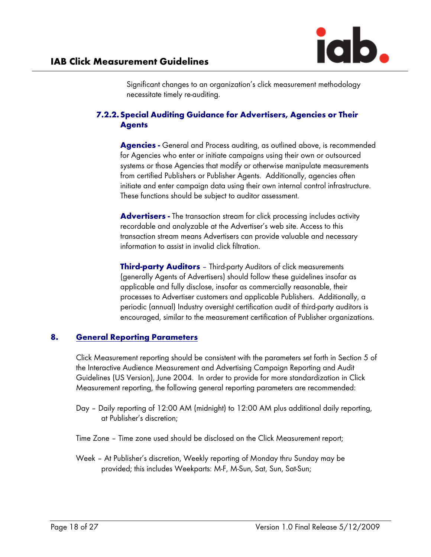

Significant changes to an organization's click measurement methodology necessitate timely re-auditing.

### 7.2.2.Special Auditing Guidance for Advertisers, Agencies or Their **Agents**

**Agencies -** General and Process auditing, as outlined above, is recommended for Agencies who enter or initiate campaigns using their own or outsourced systems or those Agencies that modify or otherwise manipulate measurements from certified Publishers or Publisher Agents. Additionally, agencies often initiate and enter campaign data using their own internal control infrastructure. These functions should be subject to auditor assessment.

Advertisers - The transaction stream for click processing includes activity recordable and analyzable at the Advertiser's web site. Access to this transaction stream means Advertisers can provide valuable and necessary information to assist in invalid click filtration.

**Third-party Auditors** - Third-party Auditors of click measurements (generally Agents of Advertisers) should follow these guidelines insofar as applicable and fully disclose, insofar as commercially reasonable, their processes to Advertiser customers and applicable Publishers. Additionally, a periodic (annual) Industry oversight certification audit of third-party auditors is encouraged, similar to the measurement certification of Publisher organizations.

#### 8. General Reporting Parameters

Click Measurement reporting should be consistent with the parameters set forth in Section 5 of the Interactive Audience Measurement and Advertising Campaign Reporting and Audit Guidelines (US Version), June 2004. In order to provide for more standardization in Click Measurement reporting, the following general reporting parameters are recommended:

- Day Daily reporting of 12:00 AM (midnight) to 12:00 AM plus additional daily reporting, at Publisher's discretion;
- Time Zone Time zone used should be disclosed on the Click Measurement report;
- Week At Publisher's discretion, Weekly reporting of Monday thru Sunday may be provided; this includes Weekparts: M-F, M-Sun, Sat, Sun, Sat-Sun;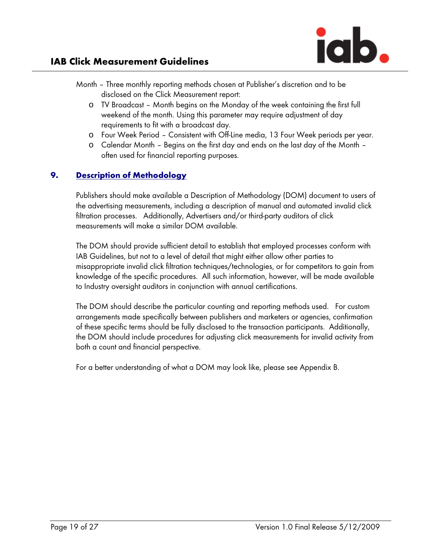

# IAB Click Measurement Guidelines

- Month Three monthly reporting methods chosen at Publisher's discretion and to be disclosed on the Click Measurement report:
	- o TV Broadcast Month begins on the Monday of the week containing the first full weekend of the month. Using this parameter may require adjustment of day requirements to fit with a broadcast day.
	- o Four Week Period Consistent with Off-Line media, 13 Four Week periods per year.
	- o Calendar Month Begins on the first day and ends on the last day of the Month often used for financial reporting purposes.

# 9. Description of Methodology

Publishers should make available a Description of Methodology (DOM) document to users of the advertising measurements, including a description of manual and automated invalid click filtration processes. Additionally, Advertisers and/or third-party auditors of click measurements will make a similar DOM available.

The DOM should provide sufficient detail to establish that employed processes conform with IAB Guidelines, but not to a level of detail that might either allow other parties to misappropriate invalid click filtration techniques/technologies, or for competitors to gain from knowledge of the specific procedures. All such information, however, will be made available to Industry oversight auditors in conjunction with annual certifications.

The DOM should describe the particular counting and reporting methods used. For custom arrangements made specifically between publishers and marketers or agencies, confirmation of these specific terms should be fully disclosed to the transaction participants. Additionally, the DOM should include procedures for adjusting click measurements for invalid activity from both a count and financial perspective.

For a better understanding of what a DOM may look like, please see Appendix B.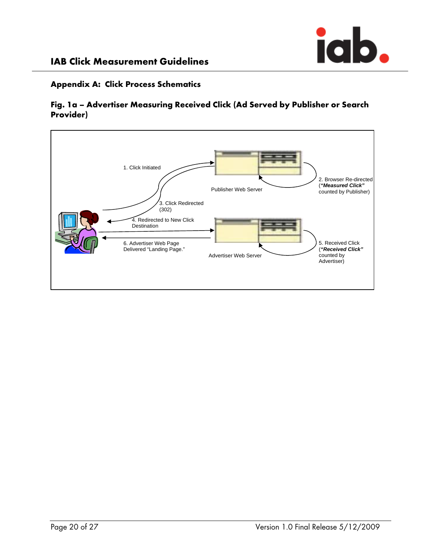

### Appendix A: Click Process Schematics



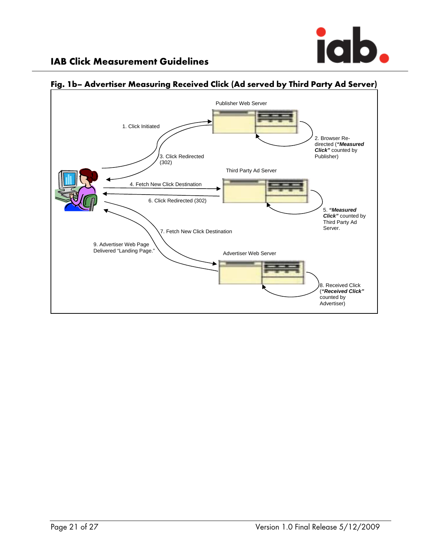



# Fig. 1b– Advertiser Measuring Received Click (Ad served by Third Party Ad Server)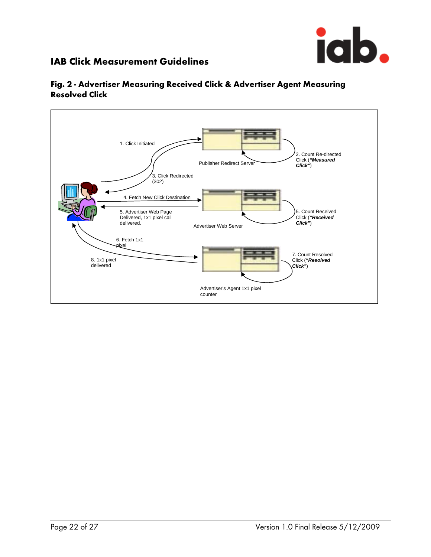



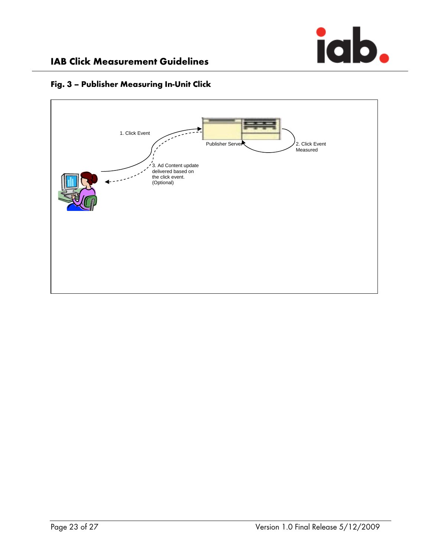



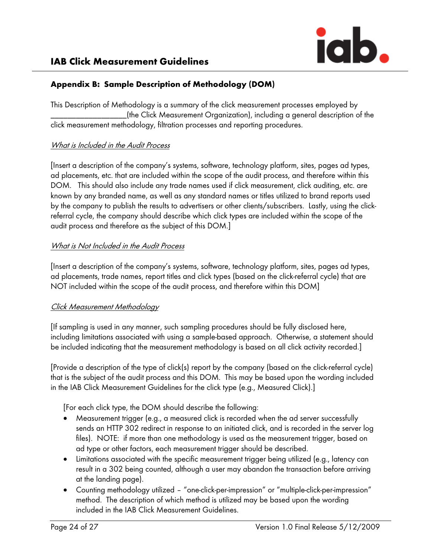

# Appendix B: Sample Description of Methodology (DOM)

This Description of Methodology is a summary of the click measurement processes employed by \_\_\_\_\_\_\_\_\_\_\_\_\_\_\_\_\_\_(the Click Measurement Organization), including a general description of the click measurement methodology, filtration processes and reporting procedures.

#### What is Included in the Audit Process

[Insert a description of the company's systems, software, technology platform, sites, pages ad types, ad placements, etc. that are included within the scope of the audit process, and therefore within this DOM. This should also include any trade names used if click measurement, click auditing, etc. are known by any branded name, as well as any standard names or titles utilized to brand reports used by the company to publish the results to advertisers or other clients/subscribers. Lastly, using the clickreferral cycle, the company should describe which click types are included within the scope of the audit process and therefore as the subject of this DOM.]

#### What is Not Included in the Audit Process

[Insert a description of the company's systems, software, technology platform, sites, pages ad types, ad placements, trade names, report titles and click types (based on the click-referral cycle) that are NOT included within the scope of the audit process, and therefore within this DOM]

#### Click Measurement Methodology

[If sampling is used in any manner, such sampling procedures should be fully disclosed here, including limitations associated with using a sample-based approach. Otherwise, a statement should be included indicating that the measurement methodology is based on all click activity recorded.]

[Provide a description of the type of click(s) report by the company (based on the click-referral cycle) that is the subject of the audit process and this DOM. This may be based upon the wording included in the IAB Click Measurement Guidelines for the click type (e.g., Measured Click).]

[For each click type, the DOM should describe the following:

- Measurement trigger (e.g., a measured click is recorded when the ad server successfully sends an HTTP 302 redirect in response to an initiated click, and is recorded in the server log files). NOTE: if more than one methodology is used as the measurement trigger, based on ad type or other factors, each measurement trigger should be described.
- Limitations associated with the specific measurement trigger being utilized (e.g., latency can result in a 302 being counted, although a user may abandon the transaction before arriving at the landing page).
- Counting methodology utilized "one-click-per-impression" or "multiple-click-per-impression" method. The description of which method is utilized may be based upon the wording included in the IAB Click Measurement Guidelines.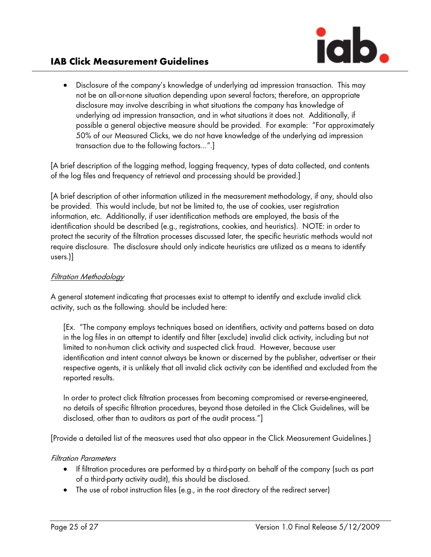

# IAB Click Measurement Guidelines

• Disclosure of the company's knowledge of underlying ad impression transaction. This may not be an all-or-none situation depending upon several factors; therefore, an appropriate disclosure may involve describing in what situations the company has knowledge of underlying ad impression transaction, and in what situations it does not. Additionally, if possible a general objective measure should be provided. For example: "For approximately 50% of our Measured Clicks, we do not have knowledge of the underlying ad impression transaction due to the following factors…".]

[A brief description of the logging method, logging frequency, types of data collected, and contents of the log files and frequency of retrieval and processing should be provided.]

[A brief description of other information utilized in the measurement methodology, if any, should also be provided. This would include, but not be limited to, the use of cookies, user registration information, etc. Additionally, if user identification methods are employed, the basis of the identification should be described (e.g., registrations, cookies, and heuristics). NOTE: in order to protect the security of the filtration processes discussed later, the specific heuristic methods would not require disclosure. The disclosure should only indicate heuristics are utilized as a means to identify users.)]

#### Filtration Methodology

A general statement indicating that processes exist to attempt to identify and exclude invalid click activity, such as the following. should be included here:

[Ex. "The company employs techniques based on identifiers, activity and patterns based on data in the log files in an attempt to identify and filter (exclude) invalid click activity, including but not limited to non-human click activity and suspected click fraud. However, because user identification and intent cannot always be known or discerned by the publisher, advertiser or their respective agents, it is unlikely that all invalid click activity can be identified and excluded from the reported results.

In order to protect click filtration processes from becoming compromised or reverse-engineered, no details of specific filtration procedures, beyond those detailed in the Click Guidelines, will be disclosed, other than to auditors as part of the audit process."]

[Provide a detailed list of the measures used that also appear in the Click Measurement Guidelines.]

#### Filtration Parameters

- If filtration procedures are performed by a third-party on behalf of the company (such as part of a third-party activity audit), this should be disclosed.
- The use of robot instruction files (e.g., in the root directory of the redirect server)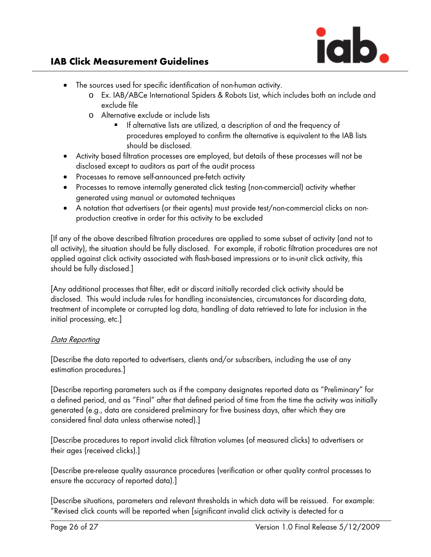

# IAB Click Measurement Guidelines

- The sources used for specific identification of non-human activity.
	- o Ex. IAB/ABCe International Spiders & Robots List, which includes both an include and exclude file
	- o Alternative exclude or include lists
		- If alternative lists are utilized, a description of and the frequency of procedures employed to confirm the alternative is equivalent to the IAB lists should be disclosed.
- Activity based filtration processes are employed, but details of these processes will not be disclosed except to auditors as part of the audit process
- Processes to remove self-announced pre-fetch activity
- Processes to remove internally generated click testing (non-commercial) activity whether generated using manual or automated techniques
- A notation that advertisers (or their agents) must provide test/non-commercial clicks on nonproduction creative in order for this activity to be excluded

[If any of the above described filtration procedures are applied to some subset of activity (and not to all activity), the situation should be fully disclosed. For example, if robotic filtration procedures are not applied against click activity associated with flash-based impressions or to in-unit click activity, this should be fully disclosed.]

[Any additional processes that filter, edit or discard initially recorded click activity should be disclosed. This would include rules for handling inconsistencies, circumstances for discarding data, treatment of incomplete or corrupted log data, handling of data retrieved to late for inclusion in the initial processing, etc.]

### Data Reporting

[Describe the data reported to advertisers, clients and/or subscribers, including the use of any estimation procedures.]

[Describe reporting parameters such as if the company designates reported data as "Preliminary" for a defined period, and as "Final" after that defined period of time from the time the activity was initially generated (e.g., data are considered preliminary for five business days, after which they are considered final data unless otherwise noted).]

[Describe procedures to report invalid click filtration volumes (of measured clicks) to advertisers or their ages (received clicks).]

[Describe pre-release quality assurance procedures (verification or other quality control processes to ensure the accuracy of reported data).]

[Describe situations, parameters and relevant thresholds in which data will be reissued. For example: "Revised click counts will be reported when [significant invalid click activity is detected for a